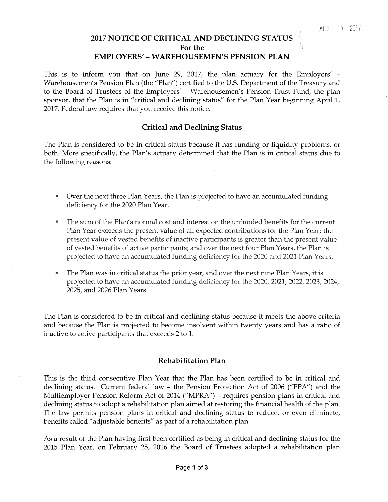### **2017 NOTICE OF CRITICAL AND DECLINING STATUS For the EMPLOYERS' - WAREHOUSEMEN'S PENSION PLAN**

This is to inform you that on June 29, 2017, the plan actuary for the Employers' - Warehousemen's Pension Plan (the "Plan") certified to the U.S. Department of the Treasury and to the Board of Trustees of the Employers' - Warehousemen's Pension Trust Fund, the plan sponsor, that the Plan is in "critical and declining status" for the Plan Year beginning April 1, 2017. Federal law requires that you receive this notice.

## **Critical and Declining Status**

The Plan is considered to be in critical status because it has funding or liquidity problems, or both. More specifically, the Plan's actuary determined that the Plan is in critical status due to the following reasons:

- Over the next three Plan Years, the Plan is projected to have an accumulated funding deficiency for the 2020 Plan Year.
- The sum of the Plan's normal cost and interest on the unfunded benefits for the current Plan Year exceeds the present value of all expected contributions for the Plan Year; the present value of vested benefits of inactive participants is greater than the present value of vested benefits of active participants; and over the next four Plan Years, the Plan is projected to have an accumulated funding deficiency for the 2020 and 2021 Plan Years.
- The Plan was in critical status the prior year, and over the next nine Plan Years, it is projected to have an accumulated funding deficiency for the 2020, 2021, 2022, 2023, 2024, 2025, and 2026 Plan Years.

The Plan is considered to be in critical and declining status because it meets the above criteria and because the Plan is projected to become insolvent within twenty years and has a ratio of inactive to active participants that exceeds 2 to 1.

## **Rehabilitation Plan**

This is the third consecutive Plan Year that the Plan has been certified to be in critical and declining status. Current federal law - the Pension Protection Act of 2006 ("PPA") and the Multiemployer Pension Reform Act of 2014 ("MPRA") - requires pension plans in critical and declining status to adopt a rehabilitation plan aimed at restoring the financial health of the plan. The law permits pension plans in critical and declining status to reduce, or even eliminate, benefits called "adjustable benefits" as part of a rehabilitation plan.

As a result of the Plan having first been certified as being in critical and declining status for the 2015 Plan Year, on February 25, 2016 the Board of Trustees adopted a rehabilitation plan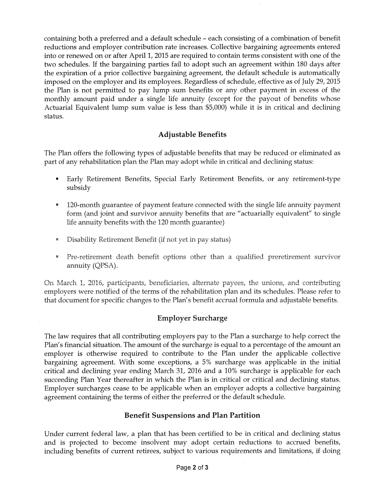containing both a preferred and a default schedule - each consisting of a combination of benefit reductions and employer contribution rate increases. Collective bargaining agreements entered into or renewed on or after April 1, 2015 are required to contain terms consistent with one of the two schedules. If the bargaining parties fail to adopt such an agreement within 180 days after the expiration of a prior collective bargaining agreement, the default schedule is automatically imposed on the employer and its employees. Regardless of schedule, effective as of July 29, 2015 the Plan is not permitted to pay lump sum benefits or any other payment in excess of the monthly amount paid under a single life annuity (except for the payout of benefits whose Actuarial Equivalent lump sum value is less than \$5,000) while it is in critical and declining status.

# **Adjustable Benefits**

The Plan offers the following types of adjustable benefits that may be reduced or eliminated as part of any rehabilitation plan the Plan may adopt while in critical and declining status:

- Early Retirement Benefits, Special Early Retirement Benefits, or any retirement-type subsidy
- 120-month guarantee of payment feature connected with the single life annuity payment form (and joint and survivor annuity benefits that are "actuarially equivalent'' to single life annuity benefits with the 120 month guarantee)
- Disability Retirement Benefit (if not yet in pay status)
- Pre-retirement death benefit options other than a qualified preretirement survivor annuity (QPSA).

On March 1, 2016, participants, beneficiaries, alternate payees, the unions, and contributing employers were notified of the terms of the rehabilitation plan and its schedules. Please refer to that document for specific changes to the Plan's benefit accrual formula and adjustable benefits.

## **Employer Surcharge**

The law requires that all contributing employers pay to the Plan a surcharge to help correct the Plan's financial situation. The amount of the surcharge is equal to a percentage of the amount an employer is otherwise required to contribute to the Plan under the applicable collective bargaining agreement. With some exceptions, a 5% surcharge was applicable in the initial critical and declining year ending March 31, 2016 and a 10% surcharge is applicable for each succeeding Plan Year thereafter in which the Plan is in critical or critical and declining status. Employer surcharges cease to be applicable when an employer adopts a collective bargaining agreement containing the terms of either the preferred or the default schedule.

## **Benefit Suspensions and Plan Partition**

Under current federal law, a plan that has been certified to be in critical and declining status and is projected to become insolvent may adopt certain reductions to accrued benefits, including benefits of current retirees, subject to various requirements and limitations, if doing